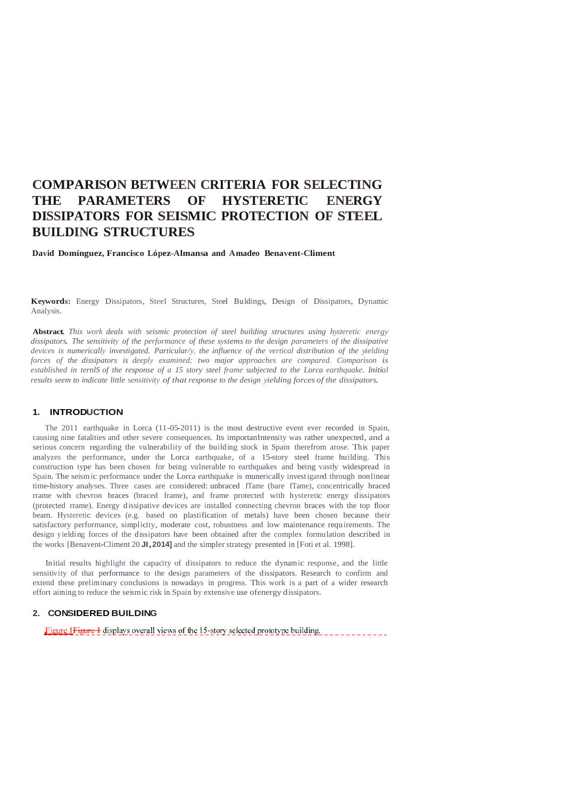# **COMPARISON BETWEEN CRITERIA FOR SELECTING THE PARAMETERS OF HYSTERETIC ENERGY DISSIPATORS FOR SEISMIC PROTECTION OF STEEL BUILDING STRUCTURES**

**David Domínguez, Francisco López-Almansa and Amadeo Benavent-Climent**

**Keywords:** Energy Dissipators, Steel Structures, Steel Buldings, Design of Dissipators, Dynamic Analysis.

**Abstract.** *This work deals with seismic protection of steel building structures using hysteretic energy dissipators. The sensitivity of the performance of these systems to the design parameters of the dissipative devices is numerically investigated. Particular/y, the influence of the vertical distribution of the yielding forces of the dissipators is deeply examined; two major approaches are compared. Comparison is*  established in ternlS of the response of a 15 story steel frame subjected to the Lorca earthquake, Initial *results seem to indicate little sensitivity of that response to the design yielding forces of the dissipators.*

### **1. INTRODUCTION**

The 2011 earthquake in Lorca (11-05-2011) is the most destructive event ever recorded in Spain, causing nine fatalities and other severe consequences. Its importan!intensity was rather unexpected, and a serious concern regarding the vulnerability of the building stock in Spain therefrom arose. This paper analyzes the performance, under the Lorca earthquake, of a 15-story steel frame huilding. This construction type has been chosen for being vu lnerable to earthquakes and being vastly widespread in Spain. The seism ic performance under the Lorca earthquake is munerically investigated through nonlinear time-history analyses. Three cases are considered: unbraced fTame (bare fTame), concentrically braced rrame with chevron braces (braced frame), and frame protected with hysteretic energy dissipators (protected rrame). Energy d issipative dev ices are installed connecting chevron braces with the top floor beam. Hysteretic devices (e.g. based on plastification of metals) have been chosen because their satisfactory performance, simplicity, moderate cost, robustness and low maintenance requirements. The design yielding forces of the dissipators have been obtained after the complex formulation described in the works [Benavent-CIiment <sup>20</sup> **JI,2014]** and the simplerstrategy presented in [Foti et al. 1998].

Initial results highlight the capacity of dissipators to reduce the dynamic response, and the little sensitivity of that performance to the design parameters of the dissipators. Research to confirm and extend these preliminary conclusions is nowadays in progress. This work is a part of a wider research effort aiming to reduce the seismic risk in Spain by extensive use ofenergy dissipators.

### **2. CONSIDERED BUILDING**

Figure 1Figure 1 displays overall views of the 15-story selected prototype building.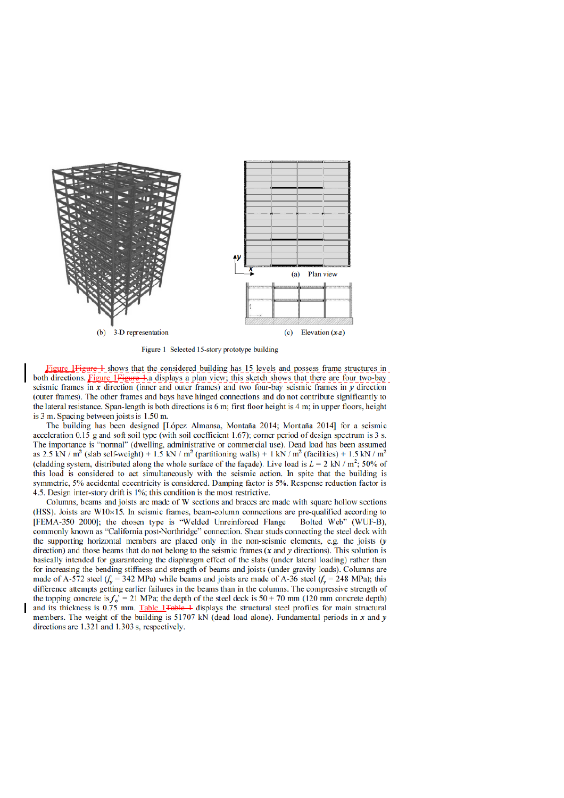

Figure 1 Selected 15-story prototype building

Figure 1Figure 1 shows that the considered building has 15 levels and possess frame structures in both directions. Figure 1 Figure 4. a displays a plan view; this sketch shows that there are four two-bay seismic frames in  $x$  direction (inner and outer frames) and two four-bay seismic frames in  $y$  direction (outer frames). The other frames and bays have hinged connections and do not contribute significantly to the lateral resistance. Span-length is both directions is 6 m; first floor height is 4 m; in upper floors, height is 3 m. Spacing between joists is 1.50 m.

The building has been designed [López Almansa, Montaña 2014; Montaña 2014] for a seismic acceleration 0.15 g and soft soil type (with soil coefficient 1.67); corner period of design spectrum is 3 s. The importance is "normal" (dwelling, administrative or commercial use). Dead load has been assumed as 2.5 kN /  $m^2$  (slab self-weight) + 1.5 kN /  $m^2$  (partitioning walls) + 1 kN /  $m^2$  (facilities) + 1.5 kN /  $m^2$ (cladding system, distributed along the whole surface of the facade). Live load is  $L = 2$  kN / m<sup>2</sup>: 50% of this load is considered to act simultaneously with the seismic action. In spite that the building is symmetric, 5% accidental eccentricity is considered. Damping factor is 5%. Response reduction factor is 4.5. Design inter-story drift is 1%; this condition is the most restrictive.

Columns, beams and joists are made of W sections and braces are made with square hollow sections (HSS). Joists are  $W10\times15$ . In seismic frames, beam-column connections are pre-qualified according to [FEMA-350 2000]; the chosen type is "Welded Unreinforced Flange Bolted Web" (WUF-B), commonly known as "California post-Northridge" connection. Shear studs connecting the steel deck with the supporting horizontal members are placed only in the non-seismic elements, e.g. the joists  $(y$ direction) and those beams that do not belong to the seismic frames  $(x$  and  $y$  directions). This solution is basically intended for guaranteeing the diaphragm effect of the slabs (under lateral loading) rather than for increasing the bending stiffness and strength of beams and joists (under gravity loads). Columns are made of A-572 steel  $(f_v = 342 \text{ MPa})$  while beams and joists are made of A-36 steel  $(f_v = 248 \text{ MPa})$ ; this difference attempts getting earlier failures in the beams than in the columns. The compressive strength of the topping concrete is  $f_c = 21$  MPa; the depth of the steel deck is  $50 + 70$  mm (120 mm concrete depth) and its thickness is 0.75 mm. Table 1 Table 1 displays the structural steel profiles for main structural members. The weight of the building is  $51707$  kN (dead load alone). Fundamental periods in x and y directions are 1.321 and 1.303 s, respectively.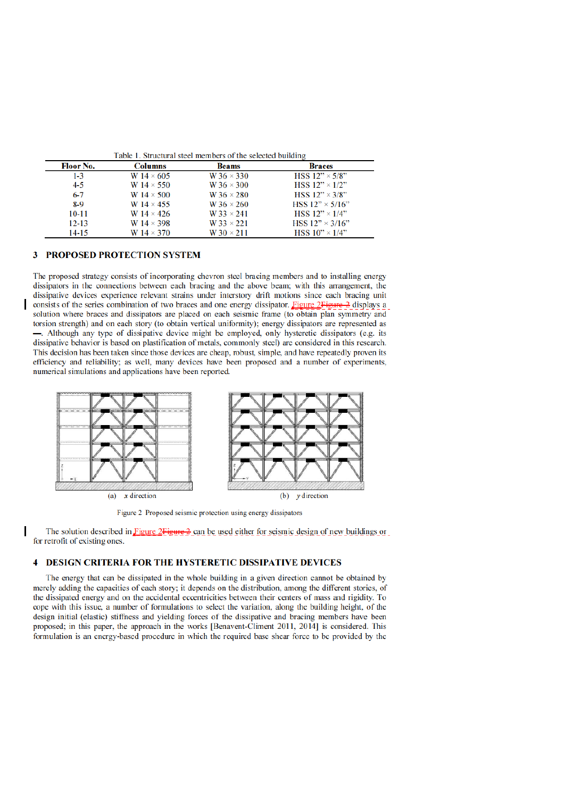| <b>Floor No.</b> | <b>Columns</b>    | <b>Beams</b>        | <b>Braces</b>           |  |
|------------------|-------------------|---------------------|-------------------------|--|
| $1 - 3$          | W $14 \times 605$ | $W36 \times 330$    | HSS $12" \times 5/8"$   |  |
| $4 - 5$          | W $14 \times 550$ | W 36 $\times$ 300   | HSS $12" \times 1/2"$   |  |
| $6 - 7$          | W $14 \times 500$ | W 36 $\times$ 280   | HSS $12" \times 3/8"$   |  |
| $8-9$            | W $14 \times 455$ | W 36 $\times$ 260   | HSS $12" \times 5/16"$  |  |
| $10 - 11$        | W $14 \times 426$ | $W$ 33 $\times$ 241 | HSS $12" \times 1/4"$   |  |
| $12 - 13$        | W $14 \times 398$ | $W$ 33 $\times$ 221 | HSS $12" \times 3/16"$  |  |
| $14 - 15$        | W $14 \times 370$ | W $30 \times 211$   | HSS $10'' \times 1/4''$ |  |

#### **PROPOSED PROTECTION SYSTEM** 3

The proposed strategy consists of incorporating chevron steel bracing members and to installing energy dissipators in the connections between each bracing and the above beam; with this arrangement, the dissipative devices experience relevant strains under interstory drift motions since each bracing unit consists of the series combination of two braces and one energy dissipator. Figure 2 Figure 2 displays a solution where braces and dissipators are placed on each seismic frame (to obtain plan symmetry and torsion strength) and on each story (to obtain vertical uniformity); energy dissipators are represented as - Although any type of dissipative device might be employed, only hysteretic dissipators (e.g. its dissipative behavior is based on plastification of metals, commonly steel) are considered in this research. This decision has been taken since those devices are cheap, robust, simple, and have repeatedly proven its efficiency and reliability; as well, many devices have been proposed and a number of experiments, numerical simulations and applications have been reported.



Figure 2 Proposed seismic protection using energy dissipators

The solution described in Figure  $2$ Figure  $2$  can be used either for seismic design of new buildings or for retrofit of existing ones.

### **4 DESIGN CRITERIA FOR THE HYSTERETIC DISSIPATIVE DEVICES**

The energy that can be dissipated in the whole building in a given direction cannot be obtained by merely adding the capacities of each story; it depends on the distribution, among the different stories, of the dissipated energy and on the accidental eccentricities between their centers of mass and rigidity. To cope with this issue, a number of formulations to select the variation, along the building height, of the design initial (elastic) stiffness and yielding forces of the dissipative and bracing members have been proposed; in this paper, the approach in the works [Benavent-Climent 2011, 2014] is considered. This formulation is an energy-based procedure in which the required base shear force to be provided by the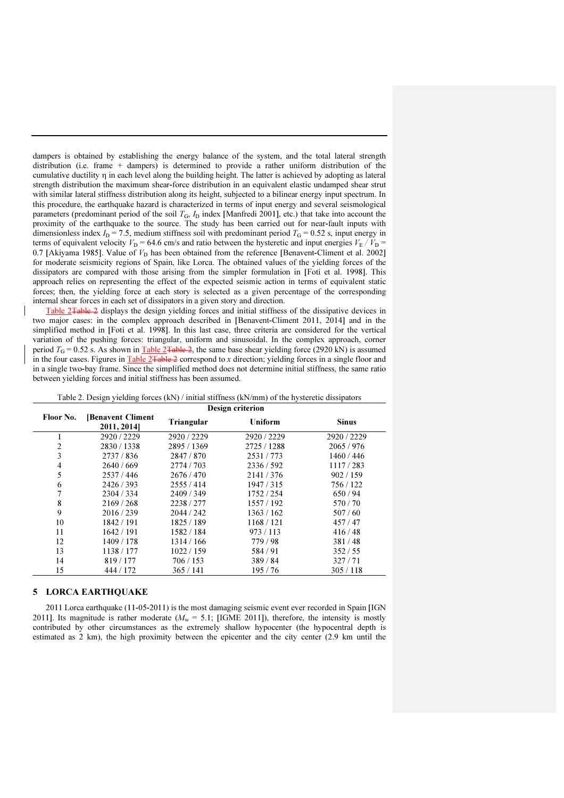dampers is obtained by establishing the energy balance of the system, and the total lateral strength distribution (i.e. frame + dampers) is determined to provide a rather uniform distribution of the cumulative ductility η in each level along the building height. The latter is achieved by adopting as lateral strength distribution the maximum shear-force distribution in an equivalent elastic undamped shear strut with similar lateral stiffness distribution along its height, subjected to a bilinear energy input spectrum. In this procedure, the earthquake hazard is characterized in terms of input energy and several seismological parameters (predominant period of the soil  $T_G$ ,  $I_D$  index [Manfredi 2001], etc.) that take into account the proximity of the earthquake to the source. The study has been carried out for near-fault inputs with dimensionless index  $I_D = 7.5$ , medium stiffness soil with predominant period  $T_G = 0.52$  s, input energy in terms of equivalent velocity  $V_D = 64.6$  cm/s and ratio between the hysteretic and input energies  $V_E / V_D$  = 0.7 [Akiyama 1985]. Value of  $V<sub>D</sub>$  has been obtained from the reference [Benavent-Climent et al. 2002] for moderate seismicity regions of Spain, like Lorca. The obtained values of the yielding forces of the dissipators are compared with those arising from the simpler formulation in [Foti et al. 1998]. This approach relies on representing the effect of the expected seismic action in terms of equivalent static forces; then, the yielding force at each story is selected as a given percentage of the corresponding internal shear forces in each set of dissipators in a given story and direction.

Table 2<del>Table 2</del> displays the design yielding forces and initial stiffness of the dissipative devices in two major cases: in the complex approach described in [Benavent-Climent 2011, 2014] and in the simplified method in [Foti et al. 1998]. In this last case, three criteria are considered for the vertical variation of the pushing forces: triangular, uniform and sinusoidal. In the complex approach, corner period  $T_{\text{G}} = 0.52$  s. As shown in Table 2Table 2, the same base shear yielding force (2920 kN) is assumed in the four cases. Figures in Table  $2$ Table 2 correspond to x direction; yielding forces in a single floor and in a single two-bay frame. Since the simplified method does not determine initial stiffness, the same ratio between yielding forces and initial stiffness has been assumed.

| Table 2. Design yielding forces (KFV)/ initial strilless (KFV/film) of the hystercite dissipators |                                        |             |                |              |  |  |  |
|---------------------------------------------------------------------------------------------------|----------------------------------------|-------------|----------------|--------------|--|--|--|
|                                                                                                   | Design criterion                       |             |                |              |  |  |  |
| Floor No.                                                                                         | <b>Benavent Climent</b><br>2011, 2014] | Triangular  | <b>Uniform</b> | <b>Sinus</b> |  |  |  |
|                                                                                                   | 2920/2229                              | 2920 / 2229 | 2920 / 2229    | 2920 / 2229  |  |  |  |
| 2                                                                                                 | 2830/1338                              | 2895/1369   | 2725 / 1288    | 2065/976     |  |  |  |
| 3                                                                                                 | 2737/836                               | 2847/870    | 2531/773       | 1460/446     |  |  |  |
| 4                                                                                                 | 2640/669                               | 2774/703    | 2336/592       | 1117/283     |  |  |  |
| 5                                                                                                 | 2537/446                               | 2676/470    | 2141/376       | 902/159      |  |  |  |
| 6                                                                                                 | 2426/393                               | 2555/414    | 1947/315       | 756 / 122    |  |  |  |
| 7                                                                                                 | 2304 / 334                             | 2409/349    | 1752/254       | 650/94       |  |  |  |
| 8                                                                                                 | 2169/268                               | 2238/277    | 1557/192       | 570/70       |  |  |  |
| 9                                                                                                 | 2016/239                               | 2044 / 242  | 1363/162       | 507/60       |  |  |  |
| 10                                                                                                | 1842 / 191                             | 1825/189    | 1168/121       | 457/47       |  |  |  |
| 11                                                                                                | 1642 / 191                             | 1582/184    | 973/113        | 416/48       |  |  |  |
| 12                                                                                                | 1409 / 178                             | 1314/166    | 779/98         | 381/48       |  |  |  |
| 13                                                                                                | 1138 / 177                             | 1022/159    | 584/91         | 352/55       |  |  |  |
| 14                                                                                                | 819/177                                | 706/153     | 389/84         | 327/71       |  |  |  |
| 15                                                                                                | 444 / 172                              | 365/141     | 195/76         | 305/118      |  |  |  |

Table 2. Design yielding forces  $(kN)$  / initial stiffness  $(kN/mm)$  of the hysteretic dissipators

### 5 LORCA EARTHQUAKE

2011 Lorca earthquake (11-05-2011) is the most damaging seismic event ever recorded in Spain [IGN 2011]. Its magnitude is rather moderate ( $M_w = 5.1$ ; [IGME 2011]), therefore, the intensity is mostly contributed by other circumstances as the extremely shallow hypocenter (the hypocentral depth is estimated as 2 km), the high proximity between the epicenter and the city center (2.9 km until the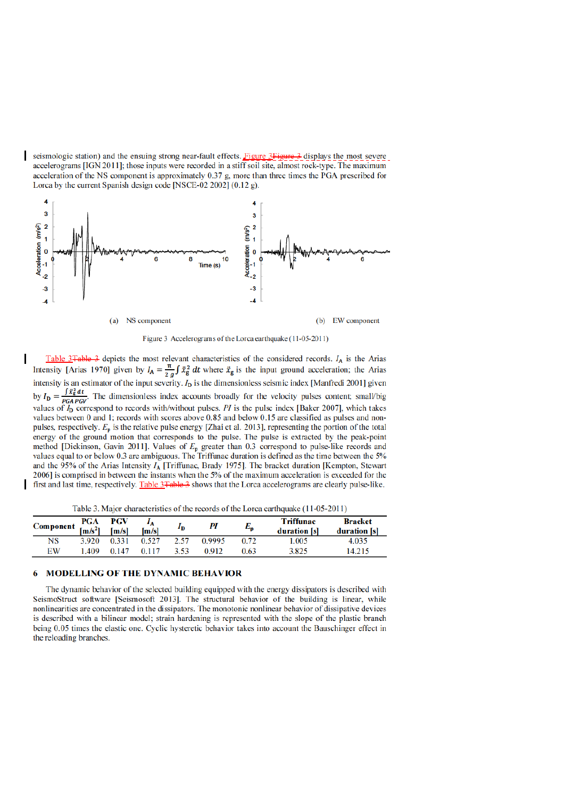seismologic station) and the ensuing strong near-fault effects. Figure 3Figure 3 displays the most severe accelerograms [IGN 2011]; those inputs were recorded in a stiff soil site, almost rock-type. The maximum acceleration of the NS component is approximately  $0.37$  g, more than three times the PGA prescribed for Lorca by the current Spanish design code [NSCE-02 2002] (0.12 g).

 $\mathbf{I}$ 



Figure 3 Accelerograms of the Lorca earthquake (11-05-2011)

Table 3 Table 3 depicts the most relevant characteristics of the considered records.  $I_A$  is the Arias Intensity [Arias 1970] given by  $I_A = \frac{\pi}{2g} \int \ddot{x}_g^2 dt$  where  $\ddot{x}_g$  is the input ground acceleration; the Arias intensity is an estimator of the input severity.  $I_D$  is the dimensionless seismic index [Manfredi 2001] given by  $I_D = \frac{\int \vec{x}_B^2 dt}{p_G A p_G v}$ . The dimensionless index accounts broadly for the velocity pulses content; small/big values of  $I<sub>D</sub>$  correspond to records with/without pulses. PI is the pulse index [Baker 2007], which takes values between 0 and 1; records with scores above 0.85 and below 0.15 are classified as pulses and nonpulses, respectively.  $E_p$  is the relative pulse energy [Zhai et al. 2013], representing the portion of the total energy of the ground motion that corresponds to the pulse. The pulse is extracted by the peak-point method [Dickinson, Gavin 2011]. Values of  $E_p$  greater than 0.3 correspond to pulse-like records and values equal to or below 0.3 are ambiguous. The Triffunac duration is defined as the time between the 5% and the 95% of the Arias Intensity  $I_A$  [Triffunac, Brady 1975]. The bracket duration [Kempton, Stewart] 2006] is comprised in between the instants when the 5% of the maximum acceleration is exceeded for the first and last time, respectively. Table 3 Table 3 shows that the Lorca accelerograms are clearly pulse-like.

Table 3. Major characteristics of the records of the Lorca earthquake (11-05-2011)

| Component $\frac{PGA}{[m/s^2]}$ |       | PGV<br>[m/s] | [m/s] | 1D   | PІ     | $E_{\mathsf{p}}$ | <b>Triffunac</b><br>duration [s] | <b>Bracket</b><br>duration [s] |
|---------------------------------|-------|--------------|-------|------|--------|------------------|----------------------------------|--------------------------------|
| NS                              | 3.920 | 0.331        | 0.527 | 2.57 | 0.9995 | 0.72             | 1.005                            | 4.035                          |
| EW                              | .409  | 0.147        | 0.117 | 3.53 | D 912. | 0.63             | 3.825                            | 14.215                         |

#### **MODELLING OF THE DYNAMIC BEHAVIOR** 6

The dynamic behavior of the selected building equipped with the energy dissipators is described with SeismoStruct software [Seismosoft 2013]. The structural behavior of the building is linear, while nonlinearities are concentrated in the dissipators. The monotonic nonlinear behavior of dissipative devices is described with a bilinear model; strain hardening is represented with the slope of the plastic branch being 0.05 times the elastic one. Cyclic hysteretic behavior takes into account the Bauschinger effect in the reloading branches.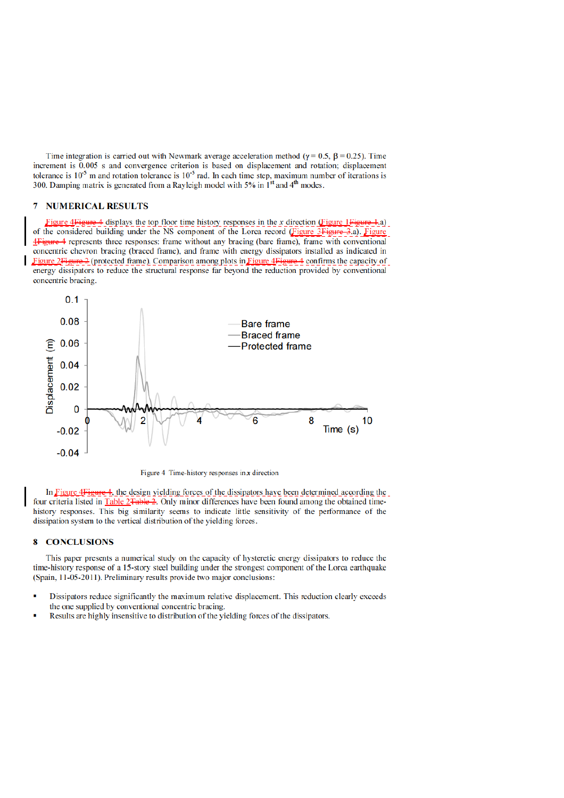Time integration is carried out with Newmark average acceleration method ( $\gamma = 0.5$ ,  $\beta = 0.25$ ). Time increment is 0.005 s and convergence criterion is based on displacement and rotation; displacement tolerance is  $10^{-5}$  m and rotation tolerance is  $10^{-5}$  rad. In each time step, maximum number of iterations is 300. Damping matrix is generated from a Rayleigh model with 5% in 1<sup>st</sup> and 4<sup>th</sup> modes.

### **7 NUMERICAL RESULTS**

Figure 4Figure 4 displays the top floor time history responses in the x direction (Figure 1Figure 1.a) of the considered building under the NS component of the Lorca record (Figure 3Figure 3.a). Figure 4Figure 4 represents three responses: frame without any bracing (bare frame), frame with conventional concentric chevron bracing (braced frame), and frame with energy dissipators installed as indicated in Figure 2Figure 2 (protected frame). Comparison among plots in Figure 4Figure 4 confirms the capacity of energy dissipators to reduce the structural response far beyond the reduction provided by conventional concentric bracing.



Figure 4 Time-history responses in  $x$  direction

In Figure 4 Figure 4, the design yielding forces of the dissipators have been determined according the four criteria listed in Table 2Table 2. Only minor differences have been found among the obtained timehistory responses. This big similarity seems to indicate little sensitivity of the performance of the dissipation system to the vertical distribution of the yielding forces.

### **8 CONCLUSIONS**

This paper presents a numerical study on the capacity of hysteretic energy dissipators to reduce the time-history response of a 15-story steel building under the strongest component of the Lorca earthquake (Spain, 11-05-2011). Preliminary results provide two major conclusions:

- Dissipators reduce significantly the maximum relative displacement. This reduction clearly exceeds the one supplied by conventional concentric bracing.
- Results are highly insensitive to distribution of the yielding forces of the dissipators.